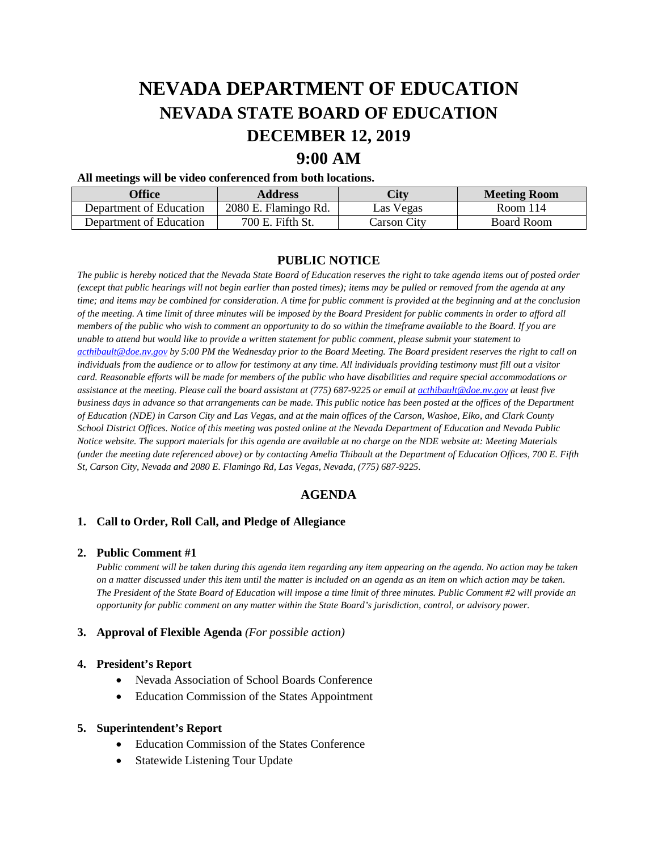# **NEVADA DEPARTMENT OF EDUCATION NEVADA STATE BOARD OF EDUCATION DECEMBER 12, 2019**

# **9:00 AM**

#### **All meetings will be video conferenced from both locations.**

| <b>Office</b>           | <b>Address</b>       | City        | <b>Meeting Room</b> |
|-------------------------|----------------------|-------------|---------------------|
| Department of Education | 2080 E. Flamingo Rd. | Las Vegas   | Room 114            |
| Department of Education | 700 E. Fifth St.     | Carson Citv | Board Room          |

# **PUBLIC NOTICE**

*The public is hereby noticed that the Nevada State Board of Education reserves the right to take agenda items out of posted order (except that public hearings will not begin earlier than posted times); items may be pulled or removed from the agenda at any time; and items may be combined for consideration. A time for public comment is provided at the beginning and at the conclusion of the meeting. A time limit of three minutes will be imposed by the Board President for public comments in order to afford all members of the public who wish to comment an opportunity to do so within the timeframe available to the Board. If you are unable to attend but would like to provide a written statement for public comment, please submit your statement to [acthibault@doe.nv.gov](mailto:acthibault@doe.nv.gov) by 5:00 PM the Wednesday prior to the Board Meeting. The Board president reserves the right to call on individuals from the audience or to allow for testimony at any time. All individuals providing testimony must fill out a visitor card. Reasonable efforts will be made for members of the public who have disabilities and require special accommodations or*  assistance at the meeting. Please call the board assistant at (775) 687-9225 or email at **acthibault@doe.nv.gov** at least five *business days in advance so that arrangements can be made. This public notice has been posted at the offices of the Department of Education (NDE) in Carson City and Las Vegas, and at the main offices of the Carson, Washoe, Elko, and Clark County School District Offices. Notice of this meeting was posted online at the Nevada Department of Education and Nevada Public Notice website. The support materials for this agenda are available at no charge on the NDE website at: Meeting Materials (under the meeting date referenced above) or by contacting Amelia Thibault at the Department of Education Offices, 700 E. Fifth St, Carson City, Nevada and 2080 E. Flamingo Rd, Las Vegas, Nevada, (775) 687-9225.* 

# **AGENDA**

## **1. Call to Order, Roll Call, and Pledge of Allegiance**

#### **2. Public Comment #1**

*Public comment will be taken during this agenda item regarding any item appearing on the agenda. No action may be taken on a matter discussed under this item until the matter is included on an agenda as an item on which action may be taken. The President of the State Board of Education will impose a time limit of three minutes. Public Comment #2 will provide an opportunity for public comment on any matter within the State Board's jurisdiction, control, or advisory power.*

#### **3. Approval of Flexible Agenda** *(For possible action)*

#### **4. President's Report**

- Nevada Association of School Boards Conference
- Education Commission of the States Appointment

#### **5. Superintendent's Report**

- Education Commission of the States Conference
- **Statewide Listening Tour Update**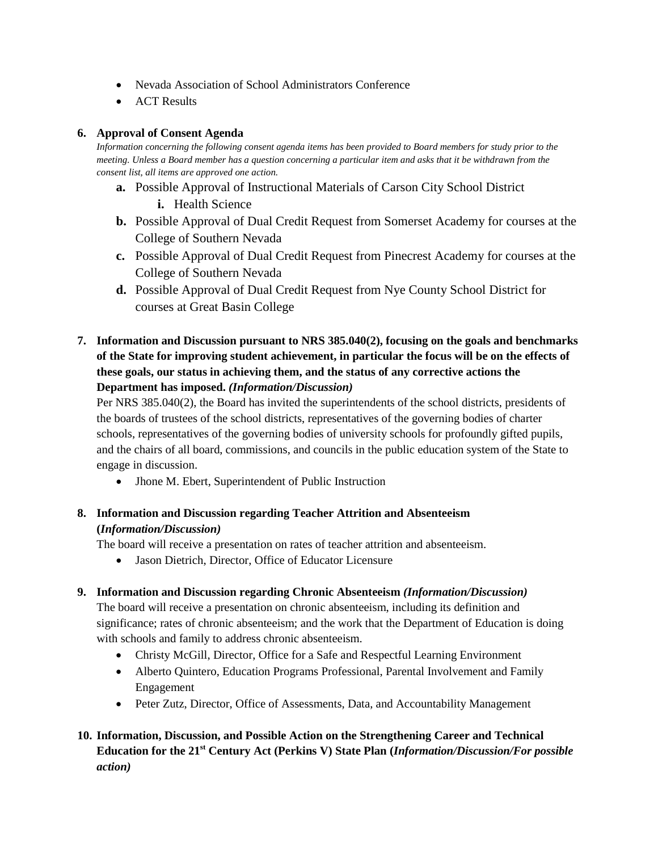- Nevada Association of School Administrators Conference
- ACT Results

# **6. Approval of Consent Agenda**

*Information concerning the following consent agenda items has been provided to Board members for study prior to the meeting. Unless a Board member has a question concerning a particular item and asks that it be withdrawn from the consent list, all items are approved one action.* 

- **a.** Possible Approval of Instructional Materials of Carson City School District **i.** Health Science
- **b.** Possible Approval of Dual Credit Request from Somerset Academy for courses at the College of Southern Nevada
- **c.** Possible Approval of Dual Credit Request from Pinecrest Academy for courses at the College of Southern Nevada
- **d.** Possible Approval of Dual Credit Request from Nye County School District for courses at Great Basin College
- **7. Information and Discussion pursuant to NRS 385.040(2), focusing on the goals and benchmarks of the State for improving student achievement, in particular the focus will be on the effects of these goals, our status in achieving them, and the status of any corrective actions the Department has imposed.** *(Information/Discussion)*

Per NRS 385.040(2), the Board has invited the superintendents of the school districts, presidents of the boards of trustees of the school districts, representatives of the governing bodies of charter schools, representatives of the governing bodies of university schools for profoundly gifted pupils, and the chairs of all board, commissions, and councils in the public education system of the State to engage in discussion.

- Jhone M. Ebert, Superintendent of Public Instruction
- **8. Information and Discussion regarding Teacher Attrition and Absenteeism (***Information/Discussion)*

The board will receive a presentation on rates of teacher attrition and absenteeism.

- Jason Dietrich, Director, Office of Educator Licensure
- **9. Information and Discussion regarding Chronic Absenteeism** *(Information/Discussion)*

The board will receive a presentation on chronic absenteeism, including its definition and significance; rates of chronic absenteeism; and the work that the Department of Education is doing with schools and family to address chronic absenteeism.

- Christy McGill, Director, Office for a Safe and Respectful Learning Environment
- Alberto Quintero, Education Programs Professional, Parental Involvement and Family Engagement
- Peter Zutz, Director, Office of Assessments, Data, and Accountability Management

# **10. Information, Discussion, and Possible Action on the Strengthening Career and Technical Education for the 21st Century Act (Perkins V) State Plan (***Information/Discussion/For possible action)*